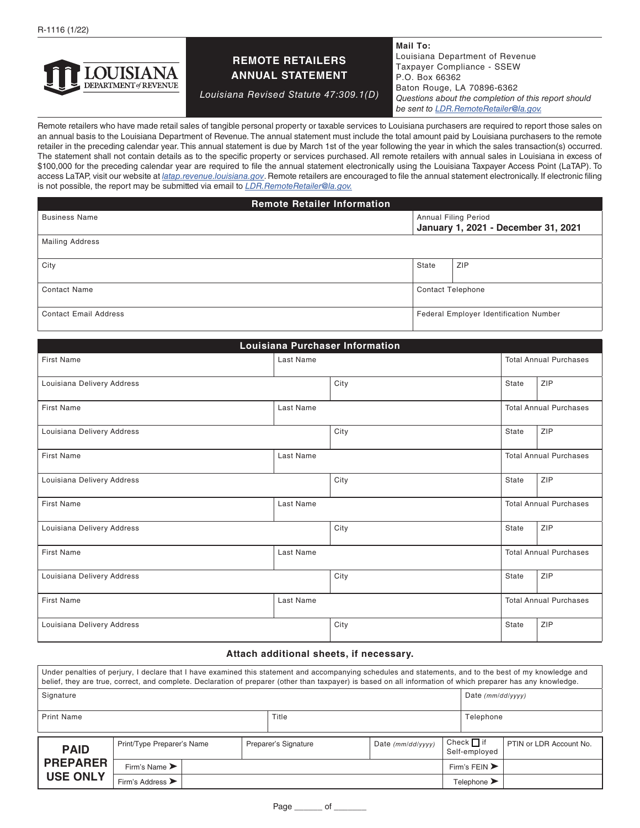

## **REMOTE RETAILERS ANNUAL STATEMENT**

*Louisiana Revised Statute 47:309.1(D)*

**Mail To:** Louisiana Department of Revenue Taxpayer Compliance - SSEW P.O. Box 66362 Baton Rouge, LA 70896-6362 *Questions about the completion of this report should be sent to [LDR.RemoteRetailer@la.gov.](mailto:LDR.RemoteRetailer%40la.gov?subject=)*

Remote retailers who have made retail sales of tangible personal property or taxable services to Louisiana purchasers are required to report those sales on an annual basis to the Louisiana Department of Revenue. The annual statement must include the total amount paid by Louisiana purchasers to the remote retailer in the preceding calendar year. This annual statement is due by March 1st of the year following the year in which the sales transaction(s) occurred. The statement shall not contain details as to the specific property or services purchased. All remote retailers with annual sales in Louisiana in excess of \$100,000 for the preceding calendar year are required to file the annual statement electronically using the Louisiana Taxpayer Access Point (LaTAP). To access LaTAP, visit our website at *[latap.revenue.louisiana.gov](http://latap.revenue.louisiana.gov)*. Remote retailers are encouraged to file the annual statement electronically. If electronic filing is not possible, the report may be submitted via email to *[LDR.RemoteRetailer@la.gov.](mailto:LDR.RemoteRetailer%40la.gov?subject=)*

**Remote Retailer Information**

| <b>Business Name</b>         | <b>Annual Filing Period</b><br>January 1, 2021 - December 31, 2021 |     |  |  |
|------------------------------|--------------------------------------------------------------------|-----|--|--|
| <b>Mailing Address</b>       |                                                                    |     |  |  |
| City                         | State                                                              | ZIP |  |  |
| <b>Contact Name</b>          | <b>Contact Telephone</b>                                           |     |  |  |
| <b>Contact Email Address</b> | Federal Employer Identification Number                             |     |  |  |

| <b>Louisiana Purchaser Information</b> |           |      |                               |                               |  |  |  |  |
|----------------------------------------|-----------|------|-------------------------------|-------------------------------|--|--|--|--|
| <b>First Name</b>                      | Last Name |      | <b>Total Annual Purchases</b> |                               |  |  |  |  |
| Louisiana Delivery Address             |           | City | State                         | ZIP                           |  |  |  |  |
| <b>First Name</b>                      | Last Name |      |                               | <b>Total Annual Purchases</b> |  |  |  |  |
| Louisiana Delivery Address             |           | City | State                         | ZIP                           |  |  |  |  |
| <b>First Name</b>                      | Last Name |      |                               | <b>Total Annual Purchases</b> |  |  |  |  |
| Louisiana Delivery Address             |           | City | State                         | ZIP                           |  |  |  |  |
| <b>First Name</b>                      | Last Name |      |                               | <b>Total Annual Purchases</b> |  |  |  |  |
| Louisiana Delivery Address             |           | City | State                         | ZIP                           |  |  |  |  |
| First Name                             | Last Name |      |                               | <b>Total Annual Purchases</b> |  |  |  |  |
| Louisiana Delivery Address             |           | City | <b>State</b>                  | ZIP                           |  |  |  |  |
| First Name                             | Last Name |      |                               | <b>Total Annual Purchases</b> |  |  |  |  |
| Louisiana Delivery Address             |           | City | <b>State</b>                  | ZIP                           |  |  |  |  |

### **Attach additional sheets, if necessary.**

| Under penalties of perjury, I declare that I have examined this statement and accompanying schedules and statements, and to the best of my knowledge and<br>belief, they are true, correct, and complete. Declaration of preparer (other than taxpayer) is based on all information of which preparer has any knowledge. |                                      |                            |  |                      |                     |                                  |                                   |                         |
|--------------------------------------------------------------------------------------------------------------------------------------------------------------------------------------------------------------------------------------------------------------------------------------------------------------------------|--------------------------------------|----------------------------|--|----------------------|---------------------|----------------------------------|-----------------------------------|-------------------------|
| Signature                                                                                                                                                                                                                                                                                                                |                                      |                            |  |                      | Date $(mm/dd/vvvv)$ |                                  |                                   |                         |
| Print Name<br>Title                                                                                                                                                                                                                                                                                                      |                                      |                            |  |                      | Telephone           |                                  |                                   |                         |
| <b>PAID</b><br><b>PREPARER</b>                                                                                                                                                                                                                                                                                           |                                      | Print/Type Preparer's Name |  | Preparer's Signature | Date $(mm/dd/vvvv)$ | Check $\Box$ if<br>Self-employed |                                   | PTIN or LDR Account No. |
|                                                                                                                                                                                                                                                                                                                          | Firm's Name $\blacktriangleright$    |                            |  |                      |                     |                                  | Firm's FEIN $\blacktriangleright$ |                         |
| <b>USE ONLY</b>                                                                                                                                                                                                                                                                                                          | Firm's Address $\blacktriangleright$ |                            |  |                      |                     |                                  | Telephone $\blacktriangleright$   |                         |

Page \_\_\_\_\_\_\_\_ of \_\_\_\_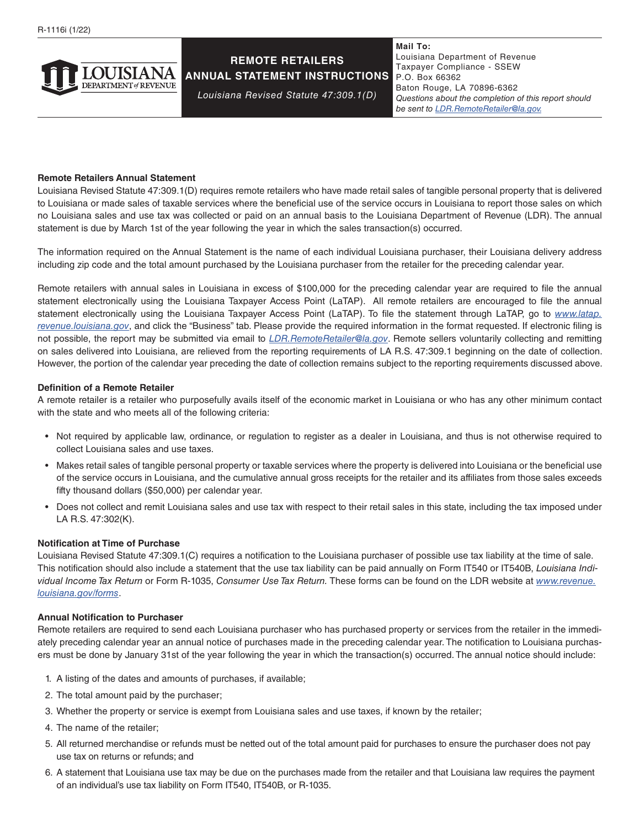

# **REMOTE RETAILERS ANNUAL STATEMENT INSTRUCTIONS**

*Louisiana Revised Statute 47:309.1(D)*

**Mail To:** Louisiana Department of Revenue Taxpayer Compliance - SSEW P.O. Box 66362 Baton Rouge, LA 70896-6362 *Questions about the completion of this report should be sent to [LDR.RemoteRetailer@la.gov.](mailto:LDR.RemoteRetailer%40la.gov?subject=)*

### **Remote Retailers Annual Statement**

Louisiana Revised Statute 47:309.1(D) requires remote retailers who have made retail sales of tangible personal property that is delivered to Louisiana or made sales of taxable services where the beneficial use of the service occurs in Louisiana to report those sales on which no Louisiana sales and use tax was collected or paid on an annual basis to the Louisiana Department of Revenue (LDR). The annual statement is due by March 1st of the year following the year in which the sales transaction(s) occurred.

The information required on the Annual Statement is the name of each individual Louisiana purchaser, their Louisiana delivery address including zip code and the total amount purchased by the Louisiana purchaser from the retailer for the preceding calendar year.

Remote retailers with annual sales in Louisiana in excess of \$100,000 for the preceding calendar year are required to file the annual statement electronically using the Louisiana Taxpayer Access Point (LaTAP). All remote retailers are encouraged to file the annual statement electronically using the Louisiana Taxpayer Access Point (LaTAP). To file the statement through LaTAP, go to *[www.latap.](https://latap.revenue.louisiana.gov/_/ ) [revenue.louisiana.gov](https://latap.revenue.louisiana.gov/_/ )*, and click the "Business" tab. Please provide the required information in the format requested. If electronic filing is not possible, the report may be submitted via email to *[LDR.RemoteRetailer@la.gov](mailto:LDR.RemoteRetailer%40la.gov?subject=)*. Remote sellers voluntarily collecting and remitting on sales delivered into Louisiana, are relieved from the reporting requirements of LA R.S. 47:309.1 beginning on the date of collection. However, the portion of the calendar year preceding the date of collection remains subject to the reporting requirements discussed above.

### **Definition of a Remote Retailer**

A remote retailer is a retailer who purposefully avails itself of the economic market in Louisiana or who has any other minimum contact with the state and who meets all of the following criteria:

- Not required by applicable law, ordinance, or regulation to register as a dealer in Louisiana, and thus is not otherwise required to collect Louisiana sales and use taxes.
- Makes retail sales of tangible personal property or taxable services where the property is delivered into Louisiana or the beneficial use of the service occurs in Louisiana, and the cumulative annual gross receipts for the retailer and its affiliates from those sales exceeds fifty thousand dollars (\$50,000) per calendar year.
- Does not collect and remit Louisiana sales and use tax with respect to their retail sales in this state, including the tax imposed under LA R.S. 47:302(K).

### **Notification at Time of Purchase**

Louisiana Revised Statute 47:309.1(C) requires a notification to the Louisiana purchaser of possible use tax liability at the time of sale. This notification should also include a statement that the use tax liability can be paid annually on Form IT540 or IT540B, *Louisiana Individual Income Tax Return* or Form R-1035, *Consumer Use Tax Return.* These forms can be found on the LDR website at *[www.revenue.](http://www.revenue.louisiana.gov/forms) [louisiana.gov/forms](http://www.revenue.louisiana.gov/forms)*.

### **Annual Notification to Purchaser**

Remote retailers are required to send each Louisiana purchaser who has purchased property or services from the retailer in the immediately preceding calendar year an annual notice of purchases made in the preceding calendar year. The notification to Louisiana purchasers must be done by January 31st of the year following the year in which the transaction(s) occurred. The annual notice should include:

- 1. A listing of the dates and amounts of purchases, if available;
- 2. The total amount paid by the purchaser;
- 3. Whether the property or service is exempt from Louisiana sales and use taxes, if known by the retailer;
- 4. The name of the retailer;
- 5. All returned merchandise or refunds must be netted out of the total amount paid for purchases to ensure the purchaser does not pay use tax on returns or refunds; and
- 6. A statement that Louisiana use tax may be due on the purchases made from the retailer and that Louisiana law requires the payment of an individual's use tax liability on Form IT540, IT540B, or R-1035.